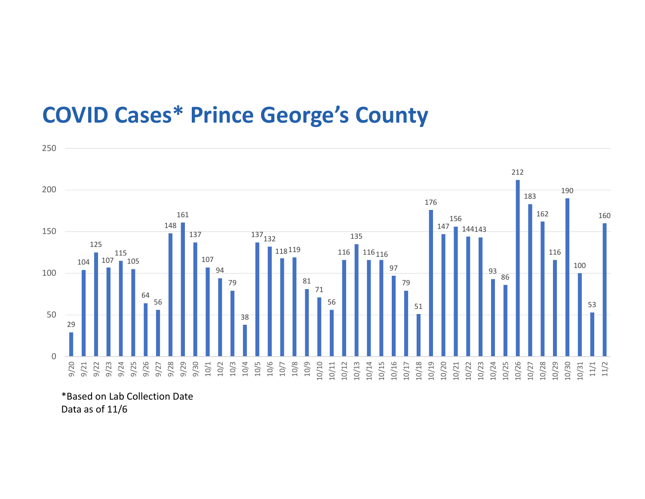## COVID Cases\* Prince George's County



\*Based on Lab Collection Date Data as of 11/6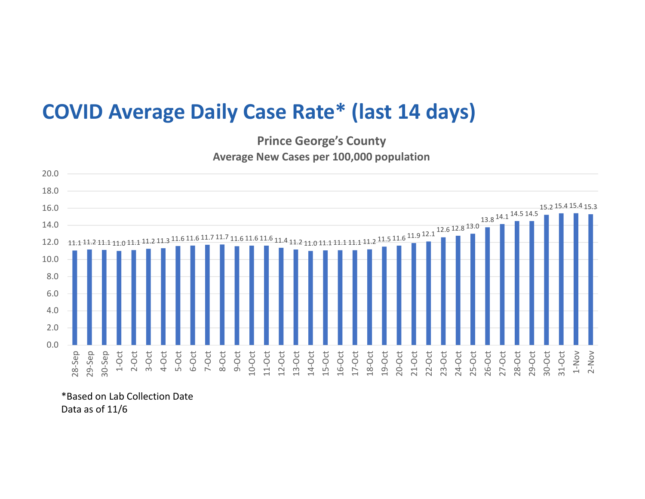## COVID Average Daily Case Rate\* (last 14 days)

Prince George's County Average New Cases per 100,000 population



\*Based on Lab Collection Date Data as of 11/6